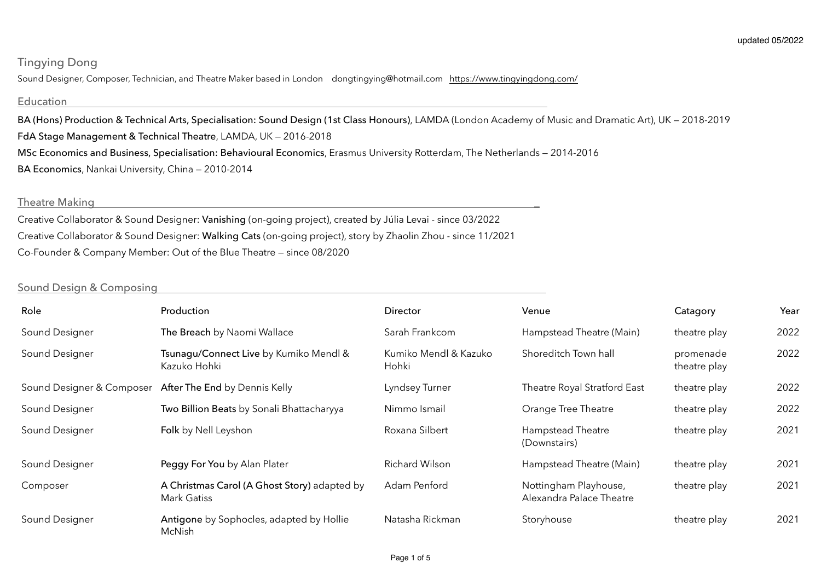# Tingying Dong

Sound Designer, Composer, Technician, and Theatre Maker based in London dongtingying@hotmail.com <https://www.tingyingdong.com/>

## Education

BA (Hons) Production & Technical Arts, Specialisation: Sound Design (1st Class Honours), LAMDA (London Academy of Music and Dramatic Art), UK — 2018-2019 FdA Stage Management & Technical Theatre, LAMDA, UK — 2016-2018 MSc Economics and Business, Specialisation: Behavioural Economics, Erasmus University Rotterdam, The Netherlands — 2014-2016 BA Economics, Nankai University, China — 2010-2014

## Theatre Making

Creative Collaborator & Sound Designer: Vanishing (on-going project), created by Júlia Levai - since 03/2022 Creative Collaborator & Sound Designer: Walking Cats (on-going project), story by Zhaolin Zhou - since 11/2021 Co-Founder & Company Member: Out of the Blue Theatre — since 08/2020

## Sound Design & Composing

| Role                      | Production                                                         | Director                       | Venue                                             | Catagory                  | Year |
|---------------------------|--------------------------------------------------------------------|--------------------------------|---------------------------------------------------|---------------------------|------|
| Sound Designer            | The Breach by Naomi Wallace                                        | Sarah Frankcom                 | Hampstead Theatre (Main)                          | theatre play              | 2022 |
| Sound Designer            | Tsunagu/Connect Live by Kumiko Mendl &<br>Kazuko Hohki             | Kumiko Mendl & Kazuko<br>Hohki | Shoreditch Town hall                              | promenade<br>theatre play | 2022 |
| Sound Designer & Composer | After The End by Dennis Kelly                                      | Lyndsey Turner                 | Theatre Royal Stratford East                      | theatre play              | 2022 |
| Sound Designer            | Two Billion Beats by Sonali Bhattacharyya                          | Nimmo Ismail                   | Orange Tree Theatre                               | theatre play              | 2022 |
| Sound Designer            | Folk by Nell Leyshon                                               | Roxana Silbert                 | Hampstead Theatre<br>(Downstairs)                 | theatre play              | 2021 |
| Sound Designer            | Peggy For You by Alan Plater                                       | Richard Wilson                 | Hampstead Theatre (Main)                          | theatre play              | 2021 |
| Composer                  | A Christmas Carol (A Ghost Story) adapted by<br><b>Mark Gatiss</b> | Adam Penford                   | Nottingham Playhouse,<br>Alexandra Palace Theatre | theatre play              | 2021 |
| Sound Designer            | Antigone by Sophocles, adapted by Hollie<br>McNish                 | Natasha Rickman                | Storyhouse                                        | theatre play              | 2021 |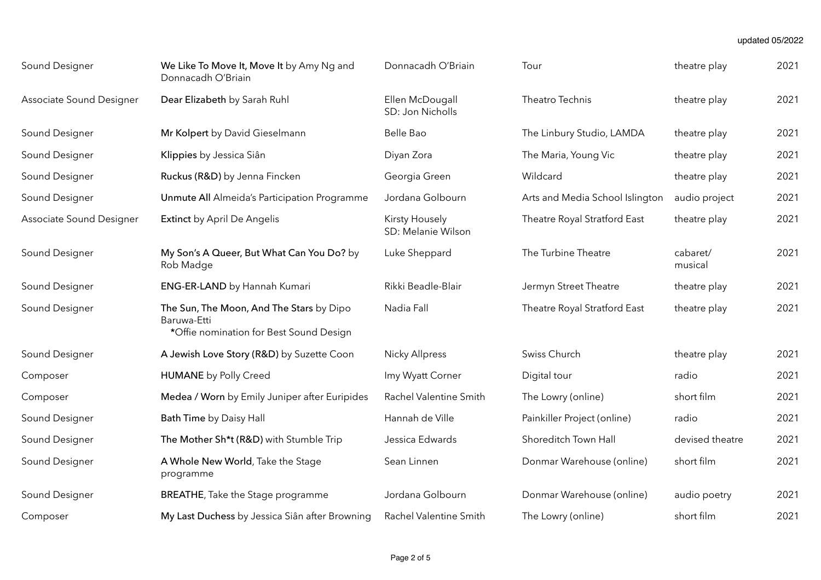#### updated 05/2022

| Sound Designer           | We Like To Move It, Move It by Amy Ng and<br>Donnacadh O'Briain                                    | Donnacadh O'Briain                   | Tour                            | theatre play        | 2021 |
|--------------------------|----------------------------------------------------------------------------------------------------|--------------------------------------|---------------------------------|---------------------|------|
| Associate Sound Designer | Dear Elizabeth by Sarah Ruhl                                                                       | Ellen McDougall<br>SD: Jon Nicholls  | Theatro Technis                 | theatre play        | 2021 |
| Sound Designer           | Mr Kolpert by David Gieselmann                                                                     | Belle Bao                            | The Linbury Studio, LAMDA       | theatre play        | 2021 |
| Sound Designer           | Klippies by Jessica Siân                                                                           | Diyan Zora                           | The Maria, Young Vic            | theatre play        | 2021 |
| Sound Designer           | Ruckus (R&D) by Jenna Fincken                                                                      | Georgia Green                        | Wildcard                        | theatre play        | 2021 |
| Sound Designer           | Unmute All Almeida's Participation Programme                                                       | Jordana Golbourn                     | Arts and Media School Islington | audio project       | 2021 |
| Associate Sound Designer | <b>Extinct</b> by April De Angelis                                                                 | Kirsty Housely<br>SD: Melanie Wilson | Theatre Royal Stratford East    | theatre play        | 2021 |
| Sound Designer           | My Son's A Queer, But What Can You Do? by<br>Rob Madge                                             | Luke Sheppard                        | The Turbine Theatre             | cabaret/<br>musical | 2021 |
| Sound Designer           | ENG-ER-LAND by Hannah Kumari                                                                       | Rikki Beadle-Blair                   | Jermyn Street Theatre           | theatre play        | 2021 |
| Sound Designer           | The Sun, The Moon, And The Stars by Dipo<br>Baruwa-Etti<br>*Offie nomination for Best Sound Design | Nadia Fall                           | Theatre Royal Stratford East    | theatre play        | 2021 |
| Sound Designer           | A Jewish Love Story (R&D) by Suzette Coon                                                          | <b>Nicky Allpress</b>                | Swiss Church                    | theatre play        | 2021 |
| Composer                 | <b>HUMANE</b> by Polly Creed                                                                       | Imy Wyatt Corner                     | Digital tour                    | radio               | 2021 |
| Composer                 | Medea / Worn by Emily Juniper after Euripides                                                      | Rachel Valentine Smith               | The Lowry (online)              | short film          | 2021 |
| Sound Designer           | Bath Time by Daisy Hall                                                                            | Hannah de Ville                      | Painkiller Project (online)     | radio               | 2021 |
| Sound Designer           | The Mother Sh*t (R&D) with Stumble Trip                                                            | Jessica Edwards                      | Shoreditch Town Hall            | devised theatre     | 2021 |
| Sound Designer           | A Whole New World, Take the Stage<br>programme                                                     | Sean Linnen                          | Donmar Warehouse (online)       | short film          | 2021 |
| Sound Designer           | <b>BREATHE, Take the Stage programme</b>                                                           | Jordana Golbourn                     | Donmar Warehouse (online)       | audio poetry        | 2021 |
| Composer                 | My Last Duchess by Jessica Siân after Browning                                                     | Rachel Valentine Smith               | The Lowry (online)              | short film          | 2021 |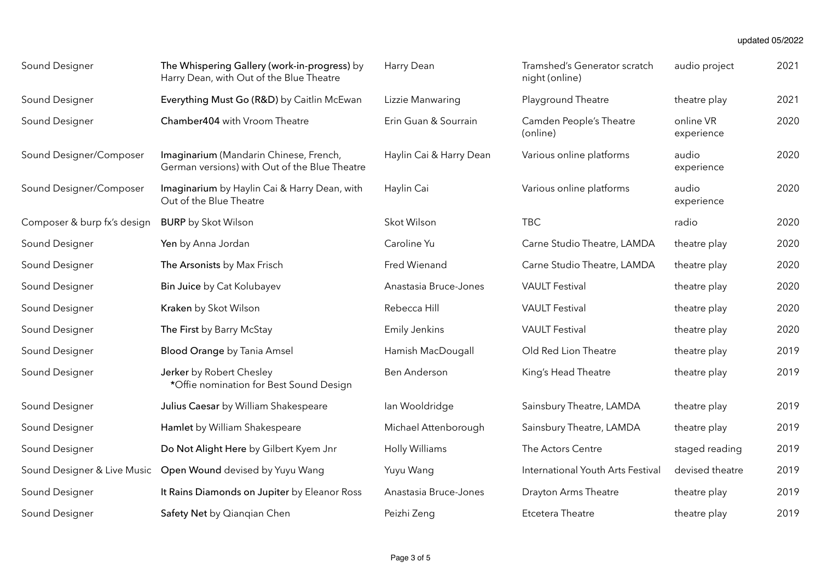#### updated 05/2022

| Sound Designer              | The Whispering Gallery (work-in-progress) by<br>Harry Dean, with Out of the Blue Theatre | Harry Dean              | Tramshed's Generator scratch<br>night (online) | audio project           | 2021 |
|-----------------------------|------------------------------------------------------------------------------------------|-------------------------|------------------------------------------------|-------------------------|------|
| Sound Designer              | Everything Must Go (R&D) by Caitlin McEwan                                               | Lizzie Manwaring        | Playground Theatre                             | theatre play            | 2021 |
| Sound Designer              | Chamber404 with Vroom Theatre                                                            | Erin Guan & Sourrain    | Camden People's Theatre<br>(online)            | online VR<br>experience | 2020 |
| Sound Designer/Composer     | Imaginarium (Mandarin Chinese, French,<br>German versions) with Out of the Blue Theatre  | Haylin Cai & Harry Dean | Various online platforms                       | audio<br>experience     | 2020 |
| Sound Designer/Composer     | Imaginarium by Haylin Cai & Harry Dean, with<br>Out of the Blue Theatre                  | Haylin Cai              | Various online platforms                       | audio<br>experience     | 2020 |
| Composer & burp fx's design | <b>BURP</b> by Skot Wilson                                                               | Skot Wilson             | <b>TBC</b>                                     | radio                   | 2020 |
| Sound Designer              | Yen by Anna Jordan                                                                       | Caroline Yu             | Carne Studio Theatre, LAMDA                    | theatre play            | 2020 |
| Sound Designer              | The Arsonists by Max Frisch                                                              | Fred Wienand            | Carne Studio Theatre, LAMDA                    | theatre play            | 2020 |
| Sound Designer              | Bin Juice by Cat Kolubayev                                                               | Anastasia Bruce-Jones   | <b>VAULT Festival</b>                          | theatre play            | 2020 |
| Sound Designer              | Kraken by Skot Wilson                                                                    | Rebecca Hill            | <b>VAULT Festival</b>                          | theatre play            | 2020 |
| Sound Designer              | The First by Barry McStay                                                                | <b>Emily Jenkins</b>    | <b>VAULT Festival</b>                          | theatre play            | 2020 |
| Sound Designer              | <b>Blood Orange by Tania Amsel</b>                                                       | Hamish MacDougall       | Old Red Lion Theatre                           | theatre play            | 2019 |
| Sound Designer              | Jerker by Robert Chesley<br>*Offie nomination for Best Sound Design                      | Ben Anderson            | King's Head Theatre                            | theatre play            | 2019 |
| Sound Designer              | Julius Caesar by William Shakespeare                                                     | lan Wooldridge          | Sainsbury Theatre, LAMDA                       | theatre play            | 2019 |
| Sound Designer              | Hamlet by William Shakespeare                                                            | Michael Attenborough    | Sainsbury Theatre, LAMDA                       | theatre play            | 2019 |
| Sound Designer              | Do Not Alight Here by Gilbert Kyem Jnr                                                   | Holly Williams          | The Actors Centre                              | staged reading          | 2019 |
| Sound Designer & Live Music | Open Wound devised by Yuyu Wang                                                          | Yuyu Wang               | International Youth Arts Festival              | devised theatre         | 2019 |
| Sound Designer              | It Rains Diamonds on Jupiter by Eleanor Ross                                             | Anastasia Bruce-Jones   | <b>Drayton Arms Theatre</b>                    | theatre play            | 2019 |
| Sound Designer              | Safety Net by Qianqian Chen                                                              | Peizhi Zeng             | Etcetera Theatre                               | theatre play            | 2019 |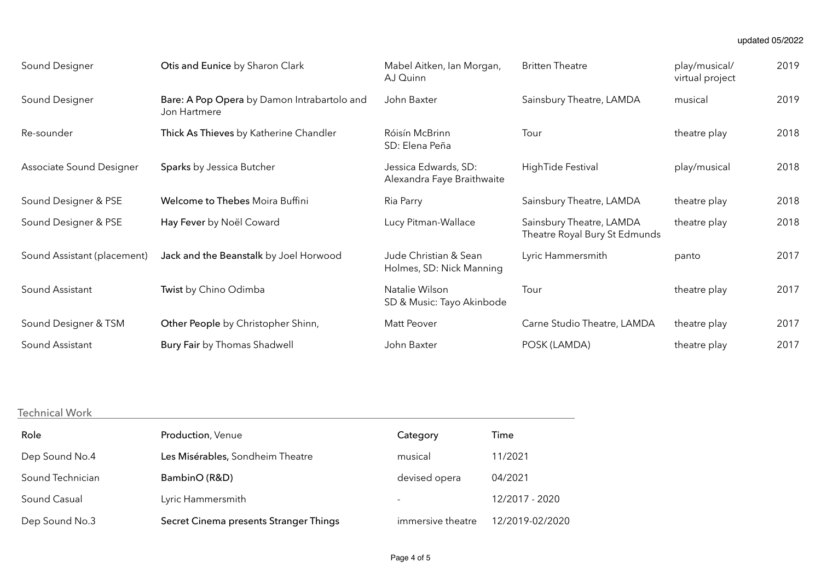| Sound Designer              | Otis and Eunice by Sharon Clark                             | Mabel Aitken, Ian Morgan,<br>AJ Quinn              | <b>Britten Theatre</b>                                    | play/musical/<br>virtual project | 2019 |
|-----------------------------|-------------------------------------------------------------|----------------------------------------------------|-----------------------------------------------------------|----------------------------------|------|
| Sound Designer              | Bare: A Pop Opera by Damon Intrabartolo and<br>Jon Hartmere | John Baxter                                        | Sainsbury Theatre, LAMDA                                  | musical                          | 2019 |
| Re-sounder                  | Thick As Thieves by Katherine Chandler                      | Róisín McBrinn<br>SD: Elena Peña                   | Tour                                                      | theatre play                     | 2018 |
| Associate Sound Designer    | Sparks by Jessica Butcher                                   | Jessica Edwards, SD:<br>Alexandra Faye Braithwaite | HighTide Festival                                         | play/musical                     | 2018 |
| Sound Designer & PSE        | Welcome to Thebes Moira Buffini                             | Ria Parry                                          | Sainsbury Theatre, LAMDA                                  | theatre play                     | 2018 |
| Sound Designer & PSE        | Hay Fever by Noël Coward                                    | Lucy Pitman-Wallace                                | Sainsbury Theatre, LAMDA<br>Theatre Royal Bury St Edmunds | theatre play                     | 2018 |
| Sound Assistant (placement) | Jack and the Beanstalk by Joel Horwood                      | Jude Christian & Sean<br>Holmes, SD: Nick Manning  | Lyric Hammersmith                                         | panto                            | 2017 |
| Sound Assistant             | Twist by Chino Odimba                                       | Natalie Wilson<br>SD & Music: Tayo Akinbode        | Tour                                                      | theatre play                     | 2017 |
| Sound Designer & TSM        | Other People by Christopher Shinn,                          | Matt Peover                                        | Carne Studio Theatre, LAMDA                               | theatre play                     | 2017 |
| Sound Assistant             | Bury Fair by Thomas Shadwell                                | John Baxter                                        | POSK (LAMDA)                                              | theatre play                     | 2017 |

# Technical Work

| Role             | Production, Venue                      | Category                 | Time            |
|------------------|----------------------------------------|--------------------------|-----------------|
| Dep Sound No.4   | Les Misérables, Sondheim Theatre       | musical                  | 11/2021         |
| Sound Technician | BambinO (R&D)                          | devised opera            | 04/2021         |
| Sound Casual     | Lyric Hammersmith                      | $\overline{\phantom{a}}$ | 12/2017 - 2020  |
| Dep Sound No.3   | Secret Cinema presents Stranger Things | immersive theatre        | 12/2019-02/2020 |